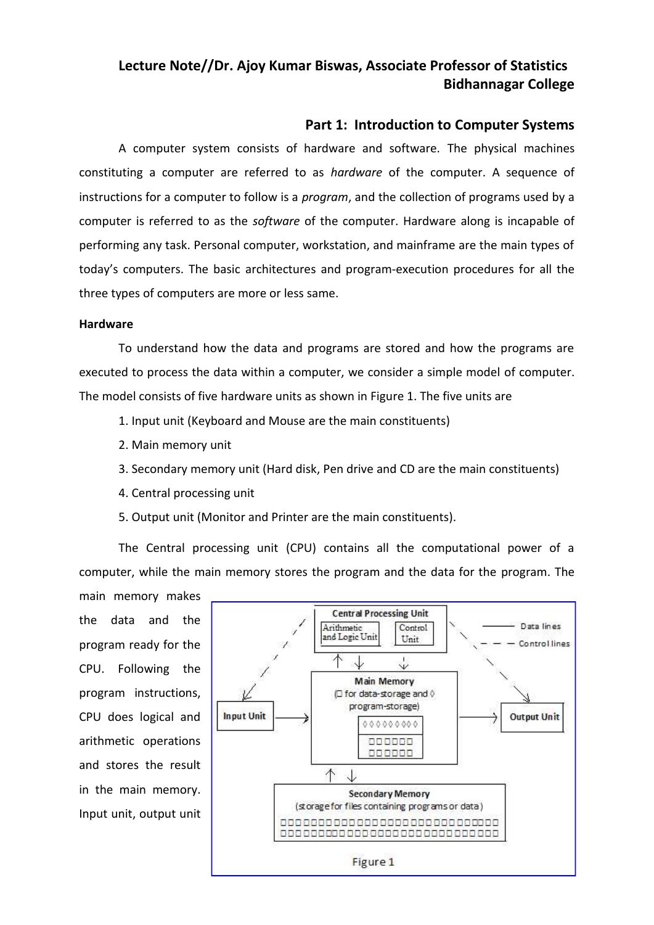### **Part 1: Introduction to Computer Systems**

A computer system consists of hardware and software. The physical machines constituting a computer are referred to as *hardware* of the computer. A sequence of instructions for a computer to follow is a *program*, and the collection of programs used by a computer is referred to as the *software* of the computer. Hardware along is incapable of performing any task. Personal computer, workstation, and mainframe are the main types of today's computers. The basic architectures and program-execution procedures for all the three types of computers are more or less same.

### **Hardware**

To understand how the data and programs are stored and how the programs are executed to process the data within a computer, we consider a simple model of computer. The model consists of five hardware units as shown in Figure 1. The five units are

- 1. Input unit (Keyboard and Mouse are the main constituents)
- 2. Main memory unit
- 3. Secondary memory unit (Hard disk, Pen drive and CD are the main constituents)
- 4. Central processing unit
- 5. Output unit (Monitor and Printer are the main constituents).

The Central processing unit (CPU) contains all the computational power of a computer, while the main memory stores the program and the data for the program. The

main memory makes the data and the program ready for the CPU. Following the program instructions, CPU does logical and **Input Unit** arithmetic operations and stores the result in the main memory. Input unit, output unit

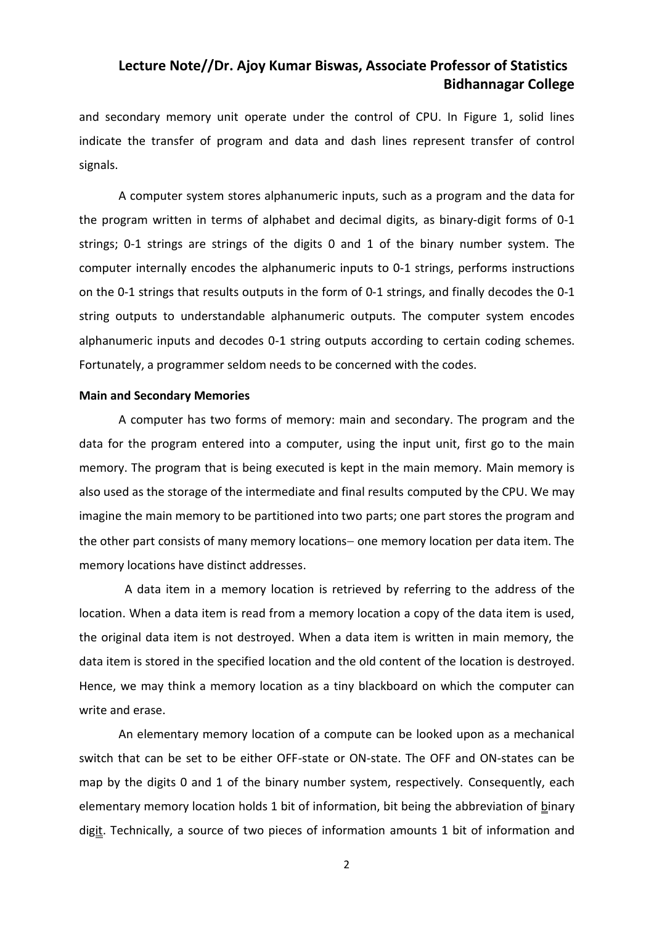and secondary memory unit operate under the control of CPU. In Figure 1, solid lines indicate the transfer of program and data and dash lines represent transfer of control signals.

A computer system stores alphanumeric inputs, such as a program and the data for the program written in terms of alphabet and decimal digits, as binary-digit forms of 0-1 strings; 0-1 strings are strings of the digits 0 and 1 of the binary number system. The computer internally encodes the alphanumeric inputs to 0-1 strings, performs instructions on the 0-1 strings that results outputs in the form of 0-1 strings, and finally decodes the 0-1 string outputs to understandable alphanumeric outputs. The computer system encodes alphanumeric inputs and decodes 0-1 string outputs according to certain coding schemes. Fortunately, a programmer seldom needs to be concerned with the codes.

#### **Main and Secondary Memories**

A computer has two forms of memory: main and secondary. The program and the data for the program entered into a computer, using the input unit, first go to the main memory. The program that is being executed is kept in the main memory. Main memory is also used as the storage of the intermediate and final results computed by the CPU. We may imagine the main memory to be partitioned into two parts; one part stores the program and the other part consists of many memory locations- one memory location per data item. The memory locations have distinct addresses.

A data item in a memory location is retrieved by referring to the address of the location. When a data item is read from a memory location a copy of the data item is used, the original data item is not destroyed. When a data item is written in main memory, the data item is stored in the specified location and the old content of the location is destroyed. Hence, we may think a memory location as a tiny blackboard on which the computer can write and erase.

An elementary memory location of a compute can be looked upon as a mechanical switch that can be set to be either OFF-state or ON-state. The OFF and ON-states can be map by the digits 0 and 1 of the binary number system, respectively. Consequently, each elementary memory location holds 1 bit of information, bit being the abbreviation of binary digit. Technically, a source of two pieces of information amounts 1 bit of information and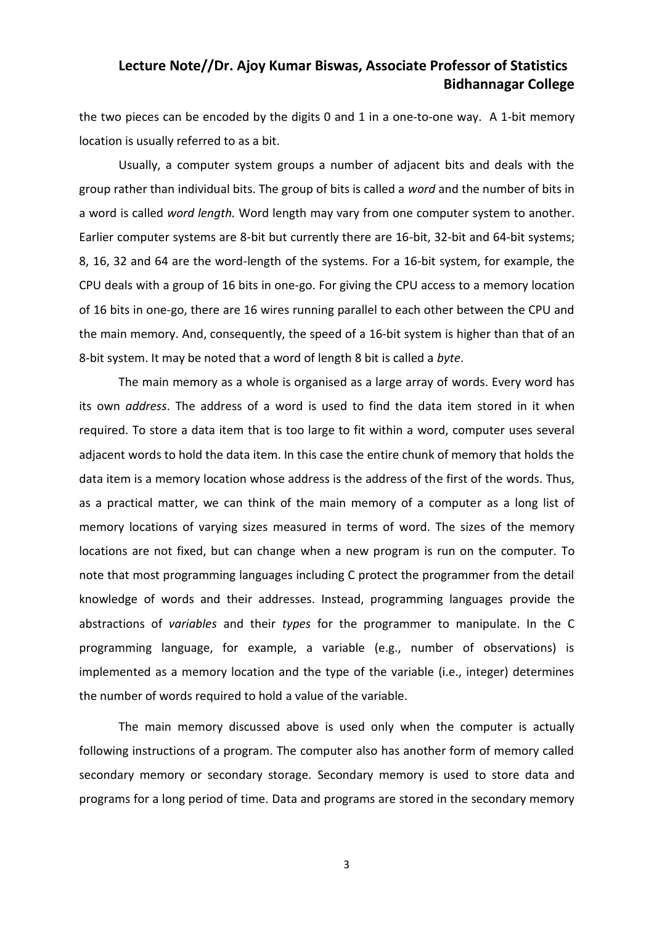the two pieces can be encoded by the digits 0 and 1 in a one-to-one way. A 1-bit memory location is usually referred to as a bit.

Usually, a computer system groups a number of adjacent bits and deals with the group rather than individual bits. The group of bits is called a *word* and the number of bits in a word is called *word length.* Word length may vary from one computer system to another. Earlier computer systems are 8-bit but currently there are 16-bit, 32-bit and 64-bit systems; 8, 16, 32 and 64 are the word-length of the systems. For a 16-bit system, for example, the CPU deals with a group of 16 bits in one-go. For giving the CPU access to a memory location of 16 bits in one-go, there are 16 wires running parallel to each other between the CPU and the main memory. And, consequently, the speed of a 16-bit system is higher than that of an 8-bit system. It may be noted that a word of length 8 bit is called a *byte*.

The main memory as a whole is organised as a large array of words. Every word has its own *address*. The address of a word is used to find the data item stored in it when required. To store a data item that is too large to fit within a word, computer uses several adjacent words to hold the data item. In this case the entire chunk of memory that holds the data item is a memory location whose address is the address of the first of the words. Thus, as a practical matter, we can think of the main memory of a computer as a long list of memory locations of varying sizes measured in terms of word. The sizes of the memory locations are not fixed, but can change when a new program is run on the computer. To note that most programming languages including C protect the programmer from the detail knowledge of words and their addresses. Instead, programming languages provide the abstractions of *variables* and their *types* for the programmer to manipulate. In the C programming language, for example, a variable (e.g., number of observations) is implemented as a memory location and the type of the variable (i.e., integer) determines the number of words required to hold a value of the variable.

The main memory discussed above is used only when the computer is actually following instructions of a program. The computer also has another form of memory called secondary memory or secondary storage. Secondary memory is used to store data and programs for a long period of time. Data and programs are stored in the secondary memory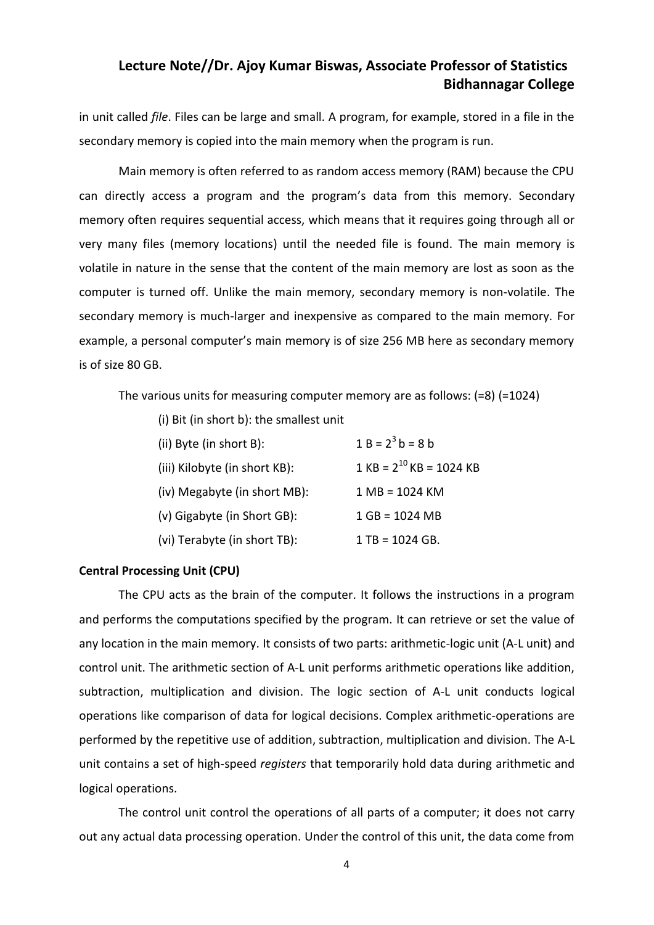in unit called *file*. Files can be large and small. A program, for example, stored in a file in the secondary memory is copied into the main memory when the program is run.

Main memory is often referred to as random access memory (RAM) because the CPU can directly access a program and the program's data from this memory. Secondary memory often requires sequential access, which means that it requires going through all or very many files (memory locations) until the needed file is found. The main memory is volatile in nature in the sense that the content of the main memory are lost as soon as the computer is turned off. Unlike the main memory, secondary memory is non-volatile. The secondary memory is much-larger and inexpensive as compared to the main memory. For example, a personal computer's main memory is of size 256 MB here as secondary memory is of size 80 GB.

The various units for measuring computer memory are as follows: (=8) (=1024)

| (i) Bit (in short b): the smallest unit |                                  |
|-----------------------------------------|----------------------------------|
| (ii) Byte (in short B):                 | $1 B = 2^3 b = 8 b$              |
| (iii) Kilobyte (in short KB):           | $1$ KB = $2^{10}$ KB = 1024 KB   |
| (iv) Megabyte (in short MB):            | $1 \text{ MB} = 1024 \text{ KM}$ |
| (v) Gigabyte (in Short GB):             | $1 GB = 1024 MB$                 |
| (vi) Terabyte (in short TB):            | $1 TB = 1024 GB.$                |

#### **Central Processing Unit (CPU)**

The CPU acts as the brain of the computer. It follows the instructions in a program and performs the computations specified by the program. It can retrieve or set the value of any location in the main memory. It consists of two parts: arithmetic-logic unit (A-L unit) and control unit. The arithmetic section of A-L unit performs arithmetic operations like addition, subtraction, multiplication and division. The logic section of A-L unit conducts logical operations like comparison of data for logical decisions. Complex arithmetic-operations are performed by the repetitive use of addition, subtraction, multiplication and division. The A-L unit contains a set of high-speed *registers* that temporarily hold data during arithmetic and logical operations.

The control unit control the operations of all parts of a computer; it does not carry out any actual data processing operation. Under the control of this unit, the data come from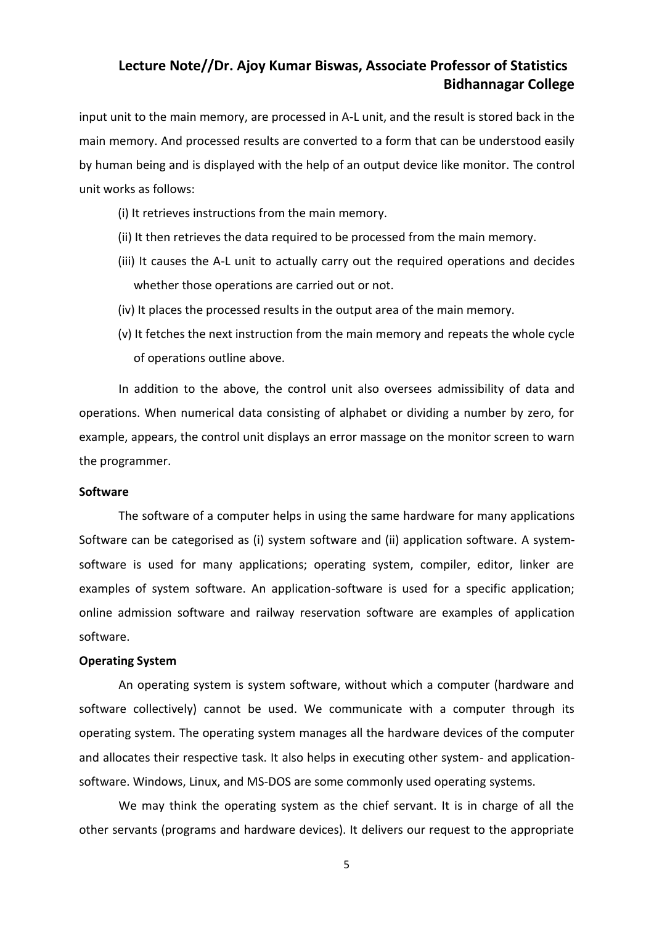input unit to the main memory, are processed in A-L unit, and the result is stored back in the main memory. And processed results are converted to a form that can be understood easily by human being and is displayed with the help of an output device like monitor. The control unit works as follows:

- (i) It retrieves instructions from the main memory.
- (ii) It then retrieves the data required to be processed from the main memory.
- (iii) It causes the A-L unit to actually carry out the required operations and decides whether those operations are carried out or not.
- (iv) It places the processed results in the output area of the main memory.
- (v) It fetches the next instruction from the main memory and repeats the whole cycle of operations outline above.

In addition to the above, the control unit also oversees admissibility of data and operations. When numerical data consisting of alphabet or dividing a number by zero, for example, appears, the control unit displays an error massage on the monitor screen to warn the programmer.

#### **Software**

The software of a computer helps in using the same hardware for many applications Software can be categorised as (i) system software and (ii) application software. A system software is used for many applications; operating system, compiler, editor, linker are examples of system software. An application-software is used for a specific application; online admission software and railway reservation software are examples of application software.

### **Operating System**

An operating system is system software, without which a computer (hardware and software collectively) cannot be used. We communicate with a computer through its operating system. The operating system manages all the hardware devices of the computer and allocates their respective task. It also helps in executing other system- and application software. Windows, Linux, and MS-DOS are some commonly used operating systems.

We may think the operating system as the chief servant. It is in charge of all the other servants (programs and hardware devices). It delivers our request to the appropriate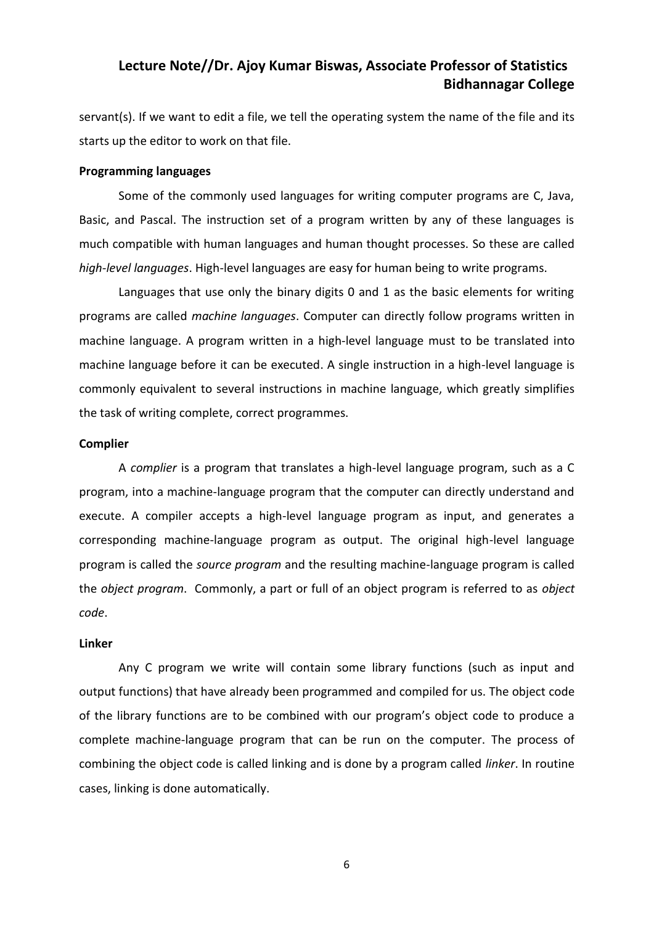servant(s). If we want to edit a file, we tell the operating system the name of the file and its starts up the editor to work on that file.

#### **Programming languages**

Some of the commonly used languages for writing computer programs are C, Java, Basic, and Pascal. The instruction set of a program written by any of these languages is much compatible with human languages and human thought processes. So these are called *high-level languages*. High-level languages are easy for human being to write programs.

Languages that use only the binary digits 0 and 1 as the basic elements for writing programs are called *machine languages*. Computer can directly follow programs written in machine language. A program written in a high-level language must to be translated into machine language before it can be executed. A single instruction in a high-level language is commonly equivalent to several instructions in machine language, which greatly simplifies the task of writing complete, correct programmes.

#### **Complier**

A *complier* is a program that translates a high-level language program, such as a C program, into a machine-language program that the computer can directly understand and execute. A compiler accepts a high-level language program as input, and generates a corresponding machine-language program as output. The original high-level language program is called the *source program* and the resulting machine-language program is called the *object program*. Commonly, a part or full of an object program is referred to as *object code*.

#### **Linker**

Any C program we write will contain some library functions (such as input and output functions) that have already been programmed and compiled for us. The object code of the library functions are to be combined with our program's object code to produce a complete machine-language program that can be run on the computer. The process of combining the object code is called linking and is done by a program called *linker*. In routine cases, linking is done automatically.